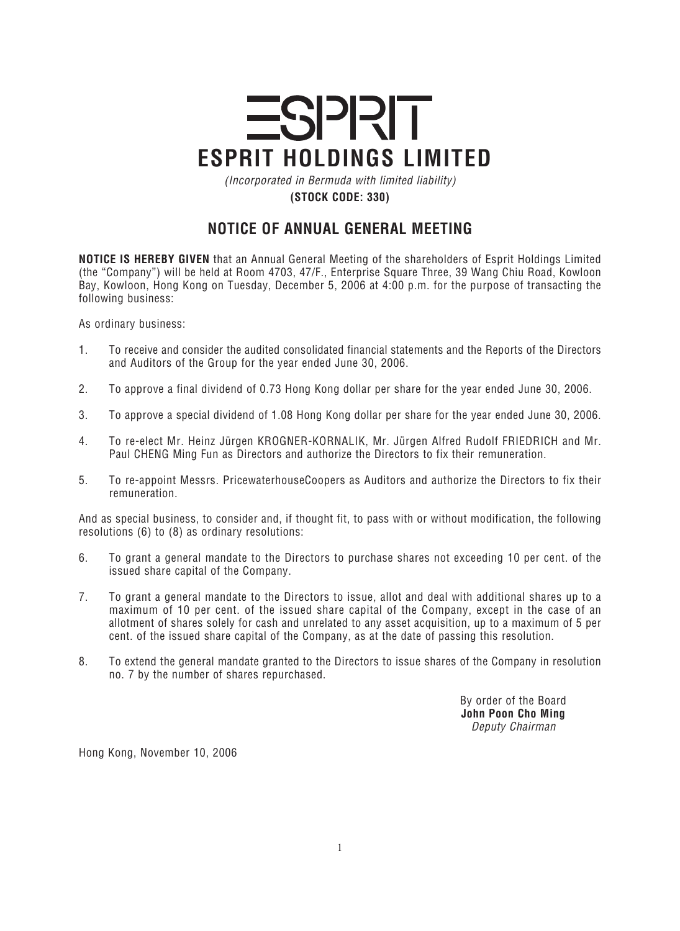## **ESPRIT ESPRIT HOLDINGS LIMITED**

*(Incorporated in Bermuda with limited liability)* **(STOCK CODE: 330)**

## **NOTICE OF ANNUAL GENERAL MEETING**

**NOTICE IS HEREBY GIVEN** *that an Annual General Meeting of the shareholders of Esprit Holdings Limited (the "Company") will be held at Room 4703, 47/F., Enterprise Square Three, 39 Wang Chiu Road, Kowloon Bay, Kowloon, Hong Kong on Tuesday, December 5, 2006 at 4:00 p.m. for the purpose of transacting the following business:*

*As ordinary business:*

- *1. To receive and consider the audited consolidated financial statements and the Reports of the Directors and Auditors of the Group for the year ended June 30, 2006.*
- *2. To approve a final dividend of 0.73 Hong Kong dollar per share for the year ended June 30, 2006.*
- *3. To approve a special dividend of 1.08 Hong Kong dollar per share for the year ended June 30, 2006.*
- *4. To re-elect Mr. Heinz Jürgen KROGNER-KORNALIK, Mr. Jürgen Alfred Rudolf FRIEDRICH and Mr. Paul CHENG Ming Fun as Directors and authorize the Directors to fix their remuneration.*
- *5. To re-appoint Messrs. PricewaterhouseCoopers as Auditors and authorize the Directors to fix their remuneration.*

*And as special business, to consider and, if thought fit, to pass with or without modification, the following resolutions (6) to (8) as ordinary resolutions:*

- *6. To grant a general mandate to the Directors to purchase shares not exceeding 10 per cent. of the issued share capital of the Company.*
- *7. To grant a general mandate to the Directors to issue, allot and deal with additional shares up to a maximum of 10 per cent. of the issued share capital of the Company, except in the case of an allotment of shares solely for cash and unrelated to any asset acquisition, up to a maximum of 5 per cent. of the issued share capital of the Company, as at the date of passing this resolution.*
- *8. To extend the general mandate granted to the Directors to issue shares of the Company in resolution no. 7 by the number of shares repurchased.*

*By order of the Board* **John Poon Cho Ming** *Deputy Chairman*

*Hong Kong, November 10, 2006*